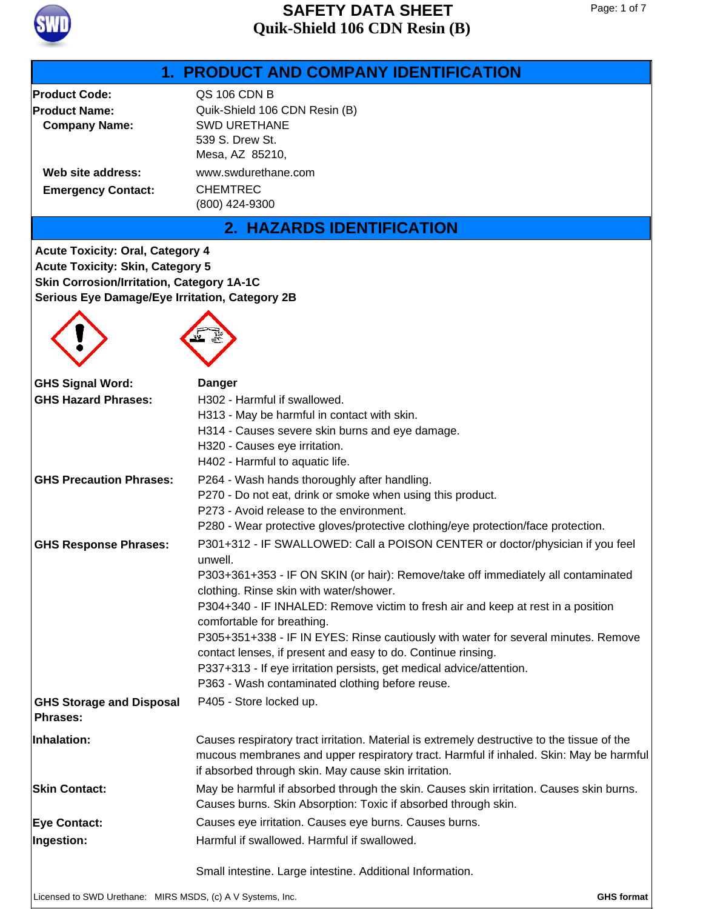

### **Product Code:** QS 106 CDN B **Product Name:** Quik-Shield 106 CDN Resin (B) **Company Name:** SWD URETHANE 539 S. Drew St. Mesa, AZ 85210, **Emergency Contact:** CHEMTREC (800) 424-9300 **Web site address:** www.swdurethane.com **1. PRODUCT AND COMPANY IDENTIFICATION 2. HAZARDS IDENTIFICATION** P264 - Wash hands thoroughly after handling. P270 - Do not eat, drink or smoke when using this product. P273 - Avoid release to the environment. P280 - Wear protective gloves/protective clothing/eye protection/face protection. **GHS Precaution Phrases:** P301+312 - IF SWALLOWED: Call a POISON CENTER or doctor/physician if you feel unwell. P303+361+353 - IF ON SKIN (or hair): Remove/take off immediately all contaminated clothing. Rinse skin with water/shower. P304+340 - IF INHALED: Remove victim to fresh air and keep at rest in a position comfortable for breathing. P305+351+338 - IF IN EYES: Rinse cautiously with water for several minutes. Remove contact lenses, if present and easy to do. Continue rinsing. P337+313 - If eye irritation persists, get medical advice/attention. P363 - Wash contaminated clothing before reuse. **GHS Response Phrases: GHS Storage and Disposal** P405 - Store locked up. **Phrases:** H302 - Harmful if swallowed. H313 - May be harmful in contact with skin. H314 - Causes severe skin burns and eye damage. H320 - Causes eye irritation. H402 - Harmful to aquatic life. **GHS Hazard Phrases: Acute Toxicity: Oral, Category 4 Acute Toxicity: Skin, Category 5 Skin Corrosion/Irritation, Category 1A-1C Serious Eye Damage/Eye Irritation, Category 2B GHS Signal Word: Danger Eye Contact:** Causes eye irritation. Causes eye burns. Causes burns. May be harmful if absorbed through the skin. Causes skin irritation. Causes skin burns. Causes burns. Skin Absorption: Toxic if absorbed through skin. **Skin Contact:** Harmful if swallowed. Harmful if swallowed. Small intestine. Large intestine. Additional Information. **Ingestion:** Causes respiratory tract irritation. Material is extremely destructive to the tissue of the mucous membranes and upper respiratory tract. Harmful if inhaled. Skin: May be harmful if absorbed through skin. May cause skin irritation. **Inhalation:**

Licensed to SWD Urethane: MIRS MSDS, (c) A V Systems, Inc. **GHS format**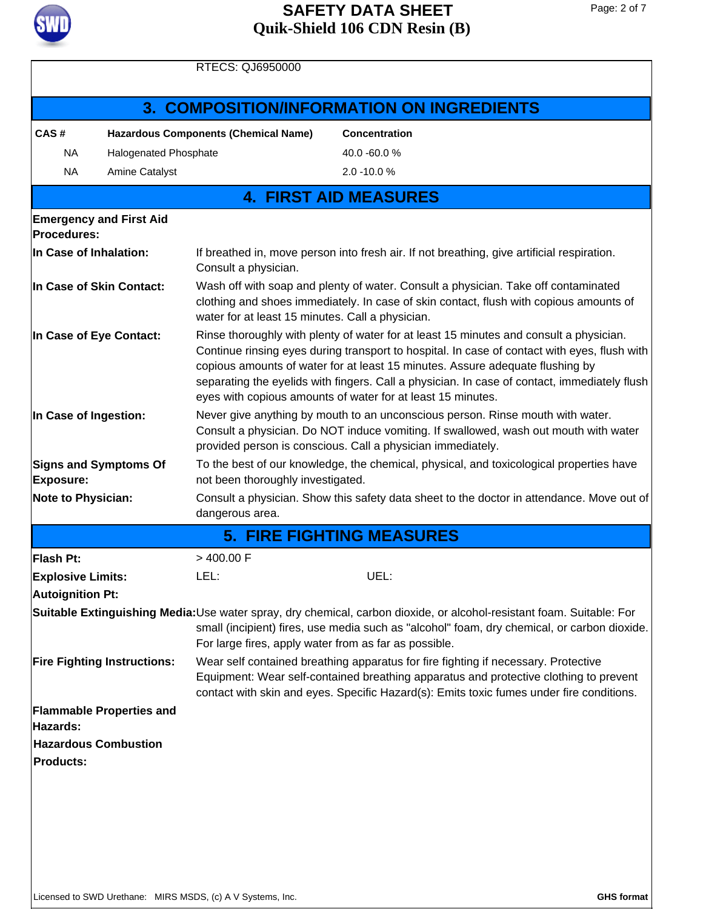

| <b>RTECS: QJ6950000</b>                          |                                               |                                                                                                                                                                                                                                                                                                                                                                                                                                        |                                                                                                                                                                                                                     |  |  |  |
|--------------------------------------------------|-----------------------------------------------|----------------------------------------------------------------------------------------------------------------------------------------------------------------------------------------------------------------------------------------------------------------------------------------------------------------------------------------------------------------------------------------------------------------------------------------|---------------------------------------------------------------------------------------------------------------------------------------------------------------------------------------------------------------------|--|--|--|
|                                                  |                                               |                                                                                                                                                                                                                                                                                                                                                                                                                                        | <b>3. COMPOSITION/INFORMATION ON INGREDIENTS</b>                                                                                                                                                                    |  |  |  |
| CAS#                                             |                                               | <b>Hazardous Components (Chemical Name)</b>                                                                                                                                                                                                                                                                                                                                                                                            | <b>Concentration</b>                                                                                                                                                                                                |  |  |  |
| <b>NA</b><br>Halogenated Phosphate               |                                               |                                                                                                                                                                                                                                                                                                                                                                                                                                        | 40.0 -60.0 %                                                                                                                                                                                                        |  |  |  |
| <b>NA</b>                                        | Amine Catalyst                                |                                                                                                                                                                                                                                                                                                                                                                                                                                        | $2.0 - 10.0 %$                                                                                                                                                                                                      |  |  |  |
|                                                  |                                               |                                                                                                                                                                                                                                                                                                                                                                                                                                        | <b>4. FIRST AID MEASURES</b>                                                                                                                                                                                        |  |  |  |
|                                                  | <b>Emergency and First Aid</b><br>Procedures: |                                                                                                                                                                                                                                                                                                                                                                                                                                        |                                                                                                                                                                                                                     |  |  |  |
| In Case of Inhalation:                           |                                               | If breathed in, move person into fresh air. If not breathing, give artificial respiration.<br>Consult a physician.                                                                                                                                                                                                                                                                                                                     |                                                                                                                                                                                                                     |  |  |  |
| In Case of Skin Contact:                         |                                               | Wash off with soap and plenty of water. Consult a physician. Take off contaminated<br>clothing and shoes immediately. In case of skin contact, flush with copious amounts of<br>water for at least 15 minutes. Call a physician.                                                                                                                                                                                                       |                                                                                                                                                                                                                     |  |  |  |
| In Case of Eye Contact:                          |                                               | Rinse thoroughly with plenty of water for at least 15 minutes and consult a physician.<br>Continue rinsing eyes during transport to hospital. In case of contact with eyes, flush with<br>copious amounts of water for at least 15 minutes. Assure adequate flushing by<br>separating the eyelids with fingers. Call a physician. In case of contact, immediately flush<br>eyes with copious amounts of water for at least 15 minutes. |                                                                                                                                                                                                                     |  |  |  |
| In Case of Ingestion:                            |                                               | Never give anything by mouth to an unconscious person. Rinse mouth with water.<br>Consult a physician. Do NOT induce vomiting. If swallowed, wash out mouth with water<br>provided person is conscious. Call a physician immediately.                                                                                                                                                                                                  |                                                                                                                                                                                                                     |  |  |  |
| <b>Signs and Symptoms Of</b><br><b>Exposure:</b> |                                               | To the best of our knowledge, the chemical, physical, and toxicological properties have<br>not been thoroughly investigated.                                                                                                                                                                                                                                                                                                           |                                                                                                                                                                                                                     |  |  |  |
| <b>Note to Physician:</b>                        |                                               | Consult a physician. Show this safety data sheet to the doctor in attendance. Move out of<br>dangerous area.                                                                                                                                                                                                                                                                                                                           |                                                                                                                                                                                                                     |  |  |  |
|                                                  |                                               |                                                                                                                                                                                                                                                                                                                                                                                                                                        | <b>5. FIRE FIGHTING MEASURES</b>                                                                                                                                                                                    |  |  |  |
| Flash Pt:                                        |                                               | $>$ 400.00 F                                                                                                                                                                                                                                                                                                                                                                                                                           |                                                                                                                                                                                                                     |  |  |  |
| <b>Explosive Limits:</b>                         |                                               | LEL:                                                                                                                                                                                                                                                                                                                                                                                                                                   | UEL:                                                                                                                                                                                                                |  |  |  |
| <b>Autoignition Pt:</b>                          |                                               |                                                                                                                                                                                                                                                                                                                                                                                                                                        |                                                                                                                                                                                                                     |  |  |  |
|                                                  |                                               | For large fires, apply water from as far as possible.                                                                                                                                                                                                                                                                                                                                                                                  | Suitable Extinguishing Media:Use water spray, dry chemical, carbon dioxide, or alcohol-resistant foam. Suitable: For<br>small (incipient) fires, use media such as "alcohol" foam, dry chemical, or carbon dioxide. |  |  |  |
| <b>Fire Fighting Instructions:</b>               |                                               | Wear self contained breathing apparatus for fire fighting if necessary. Protective<br>Equipment: Wear self-contained breathing apparatus and protective clothing to prevent<br>contact with skin and eyes. Specific Hazard(s): Emits toxic fumes under fire conditions.                                                                                                                                                                |                                                                                                                                                                                                                     |  |  |  |
| Hazards:                                         | <b>Flammable Properties and</b>               |                                                                                                                                                                                                                                                                                                                                                                                                                                        |                                                                                                                                                                                                                     |  |  |  |
|                                                  | <b>Hazardous Combustion</b>                   |                                                                                                                                                                                                                                                                                                                                                                                                                                        |                                                                                                                                                                                                                     |  |  |  |
| <b>Products:</b>                                 |                                               |                                                                                                                                                                                                                                                                                                                                                                                                                                        |                                                                                                                                                                                                                     |  |  |  |
|                                                  |                                               |                                                                                                                                                                                                                                                                                                                                                                                                                                        |                                                                                                                                                                                                                     |  |  |  |
|                                                  |                                               |                                                                                                                                                                                                                                                                                                                                                                                                                                        |                                                                                                                                                                                                                     |  |  |  |
|                                                  |                                               |                                                                                                                                                                                                                                                                                                                                                                                                                                        |                                                                                                                                                                                                                     |  |  |  |
|                                                  |                                               |                                                                                                                                                                                                                                                                                                                                                                                                                                        |                                                                                                                                                                                                                     |  |  |  |
|                                                  |                                               |                                                                                                                                                                                                                                                                                                                                                                                                                                        |                                                                                                                                                                                                                     |  |  |  |
|                                                  |                                               | Licensed to SWD Urethane: MIRS MSDS, (c) A V Systems, Inc.                                                                                                                                                                                                                                                                                                                                                                             | <b>GHS format</b>                                                                                                                                                                                                   |  |  |  |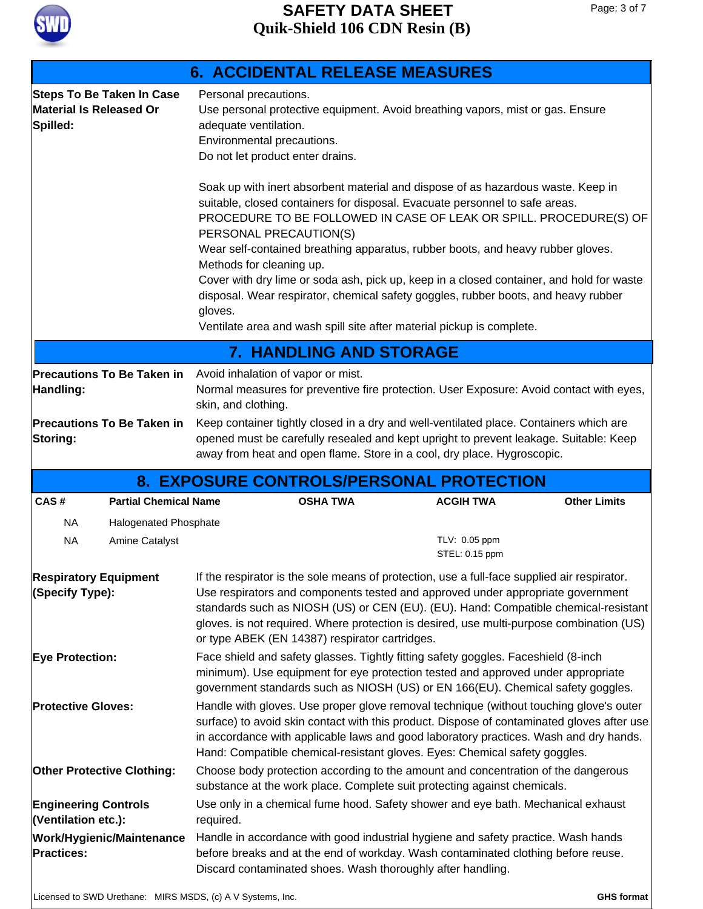

# **Quik-Shield 106 CDN Resin (B) SAFETY DATA SHEET**

|                                                                                 | <b>6. ACCIDENTAL RELEASE MEASURES</b>                                                                                                                                                                                                                                                                                                                                                                                                                                                                                                                                                                                                                |  |  |  |
|---------------------------------------------------------------------------------|------------------------------------------------------------------------------------------------------------------------------------------------------------------------------------------------------------------------------------------------------------------------------------------------------------------------------------------------------------------------------------------------------------------------------------------------------------------------------------------------------------------------------------------------------------------------------------------------------------------------------------------------------|--|--|--|
| <b>Steps To Be Taken In Case</b><br><b>Material Is Released Or</b><br>Spilled:  | Personal precautions.<br>Use personal protective equipment. Avoid breathing vapors, mist or gas. Ensure<br>adequate ventilation.<br>Environmental precautions.<br>Do not let product enter drains.                                                                                                                                                                                                                                                                                                                                                                                                                                                   |  |  |  |
|                                                                                 | Soak up with inert absorbent material and dispose of as hazardous waste. Keep in<br>suitable, closed containers for disposal. Evacuate personnel to safe areas.<br>PROCEDURE TO BE FOLLOWED IN CASE OF LEAK OR SPILL. PROCEDURE(S) OF<br>PERSONAL PRECAUTION(S)<br>Wear self-contained breathing apparatus, rubber boots, and heavy rubber gloves.<br>Methods for cleaning up.<br>Cover with dry lime or soda ash, pick up, keep in a closed container, and hold for waste<br>disposal. Wear respirator, chemical safety goggles, rubber boots, and heavy rubber<br>gloves.<br>Ventilate area and wash spill site after material pickup is complete. |  |  |  |
|                                                                                 | <b>7. HANDLING AND STORAGE</b>                                                                                                                                                                                                                                                                                                                                                                                                                                                                                                                                                                                                                       |  |  |  |
| Handling:                                                                       | <b>Precautions To Be Taken in</b> Avoid inhalation of vapor or mist.<br>Normal measures for preventive fire protection. User Exposure: Avoid contact with eyes,<br>skin, and clothing.                                                                                                                                                                                                                                                                                                                                                                                                                                                               |  |  |  |
| <b>Precautions To Be Taken in</b><br>Storing:                                   | Keep container tightly closed in a dry and well-ventilated place. Containers which are<br>opened must be carefully resealed and kept upright to prevent leakage. Suitable: Keep<br>away from heat and open flame. Store in a cool, dry place. Hygroscopic.                                                                                                                                                                                                                                                                                                                                                                                           |  |  |  |
|                                                                                 | 8. EXPOSURE CONTROLS/PERSONAL PROTECTION                                                                                                                                                                                                                                                                                                                                                                                                                                                                                                                                                                                                             |  |  |  |
| CAS#<br><b>Partial Chemical Name</b>                                            | <b>OSHA TWA</b><br><b>ACGIH TWA</b><br><b>Other Limits</b>                                                                                                                                                                                                                                                                                                                                                                                                                                                                                                                                                                                           |  |  |  |
| <b>NA</b><br><b>Halogenated Phosphate</b><br><b>NA</b><br><b>Amine Catalyst</b> | TLV: 0.05 ppm<br>STEL: 0.15 ppm                                                                                                                                                                                                                                                                                                                                                                                                                                                                                                                                                                                                                      |  |  |  |
| <b>Respiratory Equipment</b><br>(Specify Type):                                 | If the respirator is the sole means of protection, use a full-face supplied air respirator.<br>Use respirators and components tested and approved under appropriate government<br>standards such as NIOSH (US) or CEN (EU). (EU). Hand: Compatible chemical-resistant<br>gloves. is not required. Where protection is desired, use multi-purpose combination (US)<br>or type ABEK (EN 14387) respirator cartridges.                                                                                                                                                                                                                                  |  |  |  |
| <b>Eye Protection:</b>                                                          | Face shield and safety glasses. Tightly fitting safety goggles. Faceshield (8-inch<br>minimum). Use equipment for eye protection tested and approved under appropriate<br>government standards such as NIOSH (US) or EN 166(EU). Chemical safety goggles.                                                                                                                                                                                                                                                                                                                                                                                            |  |  |  |
| <b>Protective Gloves:</b>                                                       | Handle with gloves. Use proper glove removal technique (without touching glove's outer<br>surface) to avoid skin contact with this product. Dispose of contaminated gloves after use<br>in accordance with applicable laws and good laboratory practices. Wash and dry hands.<br>Hand: Compatible chemical-resistant gloves. Eyes: Chemical safety goggles.                                                                                                                                                                                                                                                                                          |  |  |  |
| <b>Other Protective Clothing:</b>                                               | Choose body protection according to the amount and concentration of the dangerous<br>substance at the work place. Complete suit protecting against chemicals.                                                                                                                                                                                                                                                                                                                                                                                                                                                                                        |  |  |  |
| <b>Engineering Controls</b><br>(Ventilation etc.):                              | Use only in a chemical fume hood. Safety shower and eye bath. Mechanical exhaust<br>required.                                                                                                                                                                                                                                                                                                                                                                                                                                                                                                                                                        |  |  |  |
| Work/Hygienic/Maintenance<br><b>Practices:</b>                                  | Handle in accordance with good industrial hygiene and safety practice. Wash hands<br>before breaks and at the end of workday. Wash contaminated clothing before reuse.<br>Discard contaminated shoes. Wash thoroughly after handling.                                                                                                                                                                                                                                                                                                                                                                                                                |  |  |  |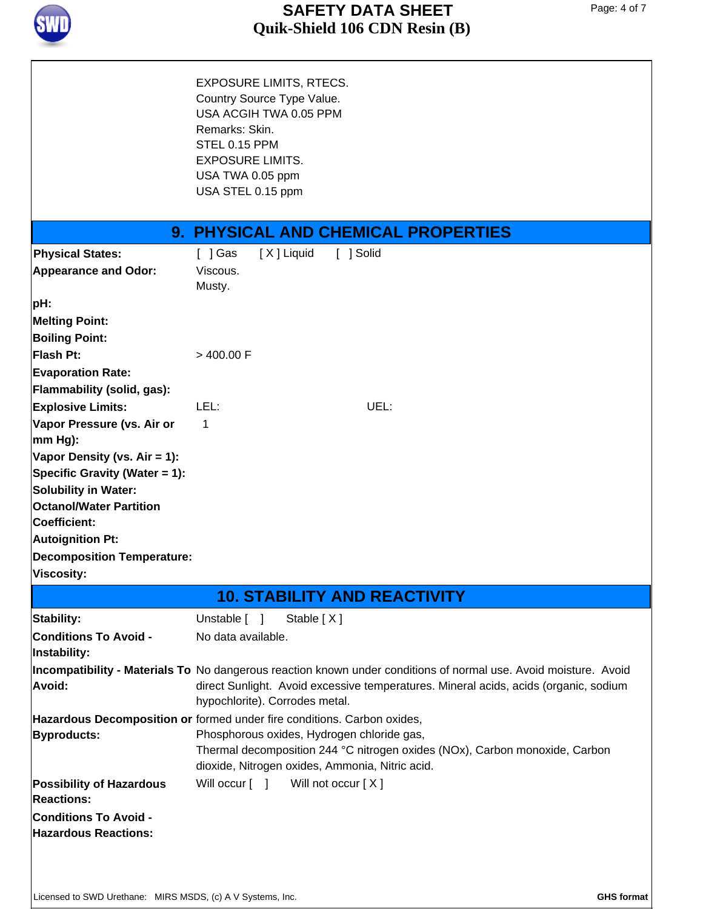

# **Quik-Shield 106 CDN Resin (B) SAFETY DATA SHEET**

Page: 4 of 7

|                                                      | <b>EXPOSURE LIMITS, RTECS.</b><br>Country Source Type Value.<br>USA ACGIH TWA 0.05 PPM<br>Remarks: Skin.<br>STEL 0.15 PPM<br><b>EXPOSURE LIMITS.</b><br>USA TWA 0.05 ppm<br>USA STEL 0.15 ppm                                              |
|------------------------------------------------------|--------------------------------------------------------------------------------------------------------------------------------------------------------------------------------------------------------------------------------------------|
|                                                      | <b>9. PHYSICAL AND CHEMICAL PROPERTIES</b>                                                                                                                                                                                                 |
| <b>Physical States:</b>                              | $[$ ] Gas<br>[X] Liquid<br>[ ] Solid                                                                                                                                                                                                       |
| <b>Appearance and Odor:</b>                          | Viscous.<br>Musty.                                                                                                                                                                                                                         |
| pH:                                                  |                                                                                                                                                                                                                                            |
| <b>Melting Point:</b>                                |                                                                                                                                                                                                                                            |
| <b>Boiling Point:</b>                                |                                                                                                                                                                                                                                            |
| <b>Flash Pt:</b>                                     | $>$ 400.00 F                                                                                                                                                                                                                               |
| <b>Evaporation Rate:</b>                             |                                                                                                                                                                                                                                            |
| Flammability (solid, gas):                           |                                                                                                                                                                                                                                            |
| <b>Explosive Limits:</b>                             | LEL:<br>UEL:                                                                                                                                                                                                                               |
| Vapor Pressure (vs. Air or<br>mm Hg):                | $\mathbf 1$                                                                                                                                                                                                                                |
| Vapor Density (vs. Air = 1):                         |                                                                                                                                                                                                                                            |
| Specific Gravity (Water = 1):                        |                                                                                                                                                                                                                                            |
| <b>Solubility in Water:</b>                          |                                                                                                                                                                                                                                            |
| <b>Octanol/Water Partition</b>                       |                                                                                                                                                                                                                                            |
| Coefficient:                                         |                                                                                                                                                                                                                                            |
| <b>Autoignition Pt:</b>                              |                                                                                                                                                                                                                                            |
| <b>Decomposition Temperature:</b>                    |                                                                                                                                                                                                                                            |
| <b>Viscosity:</b>                                    |                                                                                                                                                                                                                                            |
|                                                      | <b>10. STABILITY AND REACTIVITY</b>                                                                                                                                                                                                        |
| Stability:                                           | Unstable [ ]<br>Stable [X]                                                                                                                                                                                                                 |
| <b>Conditions To Avoid -</b><br>Instability:         | No data available.                                                                                                                                                                                                                         |
| Avoid:                                               | Incompatibility - Materials To No dangerous reaction known under conditions of normal use. Avoid moisture. Avoid<br>direct Sunlight. Avoid excessive temperatures. Mineral acids, acids (organic, sodium<br>hypochlorite). Corrodes metal. |
|                                                      | Hazardous Decomposition or formed under fire conditions. Carbon oxides,                                                                                                                                                                    |
| <b>Byproducts:</b>                                   | Phosphorous oxides, Hydrogen chloride gas,                                                                                                                                                                                                 |
|                                                      | Thermal decomposition 244 °C nitrogen oxides (NOx), Carbon monoxide, Carbon<br>dioxide, Nitrogen oxides, Ammonia, Nitric acid.                                                                                                             |
| <b>Possibility of Hazardous</b><br><b>Reactions:</b> | Will occur [ ]<br>Will not occur [X]                                                                                                                                                                                                       |
| <b>Conditions To Avoid -</b>                         |                                                                                                                                                                                                                                            |
| <b>Hazardous Reactions:</b>                          |                                                                                                                                                                                                                                            |
|                                                      |                                                                                                                                                                                                                                            |
|                                                      |                                                                                                                                                                                                                                            |
|                                                      |                                                                                                                                                                                                                                            |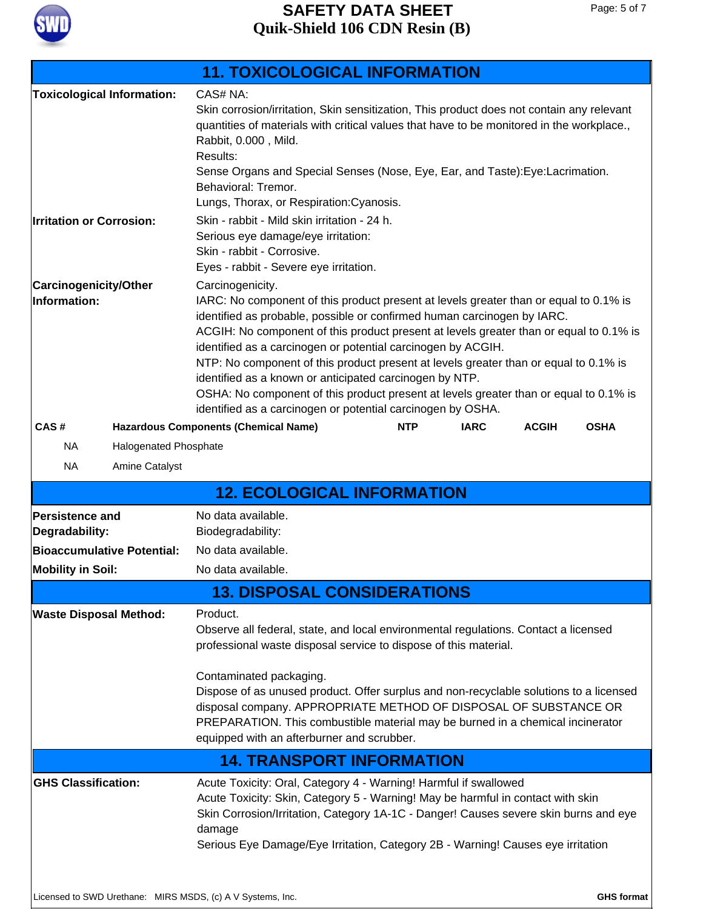

|                                                            | <b>11. TOXICOLOGICAL INFORMATION</b>                                                                                                                                                                                                                                                                                                                                                                                                                                                                                                                                   |  |  |  |  |
|------------------------------------------------------------|------------------------------------------------------------------------------------------------------------------------------------------------------------------------------------------------------------------------------------------------------------------------------------------------------------------------------------------------------------------------------------------------------------------------------------------------------------------------------------------------------------------------------------------------------------------------|--|--|--|--|
| <b>Toxicological Information:</b>                          | CAS# NA:                                                                                                                                                                                                                                                                                                                                                                                                                                                                                                                                                               |  |  |  |  |
|                                                            | Skin corrosion/irritation, Skin sensitization, This product does not contain any relevant<br>quantities of materials with critical values that have to be monitored in the workplace.,<br>Rabbit, 0.000, Mild.                                                                                                                                                                                                                                                                                                                                                         |  |  |  |  |
|                                                            | Results:<br>Sense Organs and Special Senses (Nose, Eye, Ear, and Taste): Eye: Lacrimation.<br>Behavioral: Tremor.                                                                                                                                                                                                                                                                                                                                                                                                                                                      |  |  |  |  |
|                                                            | Lungs, Thorax, or Respiration: Cyanosis.                                                                                                                                                                                                                                                                                                                                                                                                                                                                                                                               |  |  |  |  |
| <b>Irritation or Corrosion:</b>                            | Skin - rabbit - Mild skin irritation - 24 h.                                                                                                                                                                                                                                                                                                                                                                                                                                                                                                                           |  |  |  |  |
|                                                            | Serious eye damage/eye irritation:<br>Skin - rabbit - Corrosive.<br>Eyes - rabbit - Severe eye irritation.                                                                                                                                                                                                                                                                                                                                                                                                                                                             |  |  |  |  |
| <b>Carcinogenicity/Other</b>                               | Carcinogenicity.                                                                                                                                                                                                                                                                                                                                                                                                                                                                                                                                                       |  |  |  |  |
| Information:                                               | IARC: No component of this product present at levels greater than or equal to 0.1% is<br>identified as probable, possible or confirmed human carcinogen by IARC.<br>ACGIH: No component of this product present at levels greater than or equal to 0.1% is<br>identified as a carcinogen or potential carcinogen by ACGIH.<br>NTP: No component of this product present at levels greater than or equal to 0.1% is<br>identified as a known or anticipated carcinogen by NTP.<br>OSHA: No component of this product present at levels greater than or equal to 0.1% is |  |  |  |  |
|                                                            | identified as a carcinogen or potential carcinogen by OSHA.                                                                                                                                                                                                                                                                                                                                                                                                                                                                                                            |  |  |  |  |
| CAS#                                                       | <b>Hazardous Components (Chemical Name)</b><br><b>IARC</b><br><b>NTP</b><br><b>OSHA</b><br><b>ACGIH</b>                                                                                                                                                                                                                                                                                                                                                                                                                                                                |  |  |  |  |
| <b>NA</b><br><b>Halogenated Phosphate</b>                  |                                                                                                                                                                                                                                                                                                                                                                                                                                                                                                                                                                        |  |  |  |  |
| Amine Catalyst<br><b>NA</b>                                |                                                                                                                                                                                                                                                                                                                                                                                                                                                                                                                                                                        |  |  |  |  |
|                                                            | <b>12. ECOLOGICAL INFORMATION</b>                                                                                                                                                                                                                                                                                                                                                                                                                                                                                                                                      |  |  |  |  |
| <b>Persistence and</b>                                     | No data available.                                                                                                                                                                                                                                                                                                                                                                                                                                                                                                                                                     |  |  |  |  |
| Degradability:                                             | Biodegradability:                                                                                                                                                                                                                                                                                                                                                                                                                                                                                                                                                      |  |  |  |  |
| <b>Bioaccumulative Potential:</b>                          | No data available.                                                                                                                                                                                                                                                                                                                                                                                                                                                                                                                                                     |  |  |  |  |
| <b>Mobility in Soil:</b>                                   | No data available.                                                                                                                                                                                                                                                                                                                                                                                                                                                                                                                                                     |  |  |  |  |
|                                                            |                                                                                                                                                                                                                                                                                                                                                                                                                                                                                                                                                                        |  |  |  |  |
|                                                            | <b>13. DISPOSAL CONSIDERATIONS</b>                                                                                                                                                                                                                                                                                                                                                                                                                                                                                                                                     |  |  |  |  |
| <b>Waste Disposal Method:</b>                              | Product.<br>Observe all federal, state, and local environmental regulations. Contact a licensed<br>professional waste disposal service to dispose of this material.                                                                                                                                                                                                                                                                                                                                                                                                    |  |  |  |  |
|                                                            | Contaminated packaging.<br>Dispose of as unused product. Offer surplus and non-recyclable solutions to a licensed<br>disposal company. APPROPRIATE METHOD OF DISPOSAL OF SUBSTANCE OR<br>PREPARATION. This combustible material may be burned in a chemical incinerator<br>equipped with an afterburner and scrubber.                                                                                                                                                                                                                                                  |  |  |  |  |
|                                                            | <b>14. TRANSPORT INFORMATION</b>                                                                                                                                                                                                                                                                                                                                                                                                                                                                                                                                       |  |  |  |  |
| <b>GHS Classification:</b>                                 | Acute Toxicity: Oral, Category 4 - Warning! Harmful if swallowed<br>Acute Toxicity: Skin, Category 5 - Warning! May be harmful in contact with skin<br>Skin Corrosion/Irritation, Category 1A-1C - Danger! Causes severe skin burns and eye<br>damage<br>Serious Eye Damage/Eye Irritation, Category 2B - Warning! Causes eye irritation                                                                                                                                                                                                                               |  |  |  |  |
| Licensed to SWD Urethane: MIRS MSDS, (c) A V Systems, Inc. | <b>GHS format</b>                                                                                                                                                                                                                                                                                                                                                                                                                                                                                                                                                      |  |  |  |  |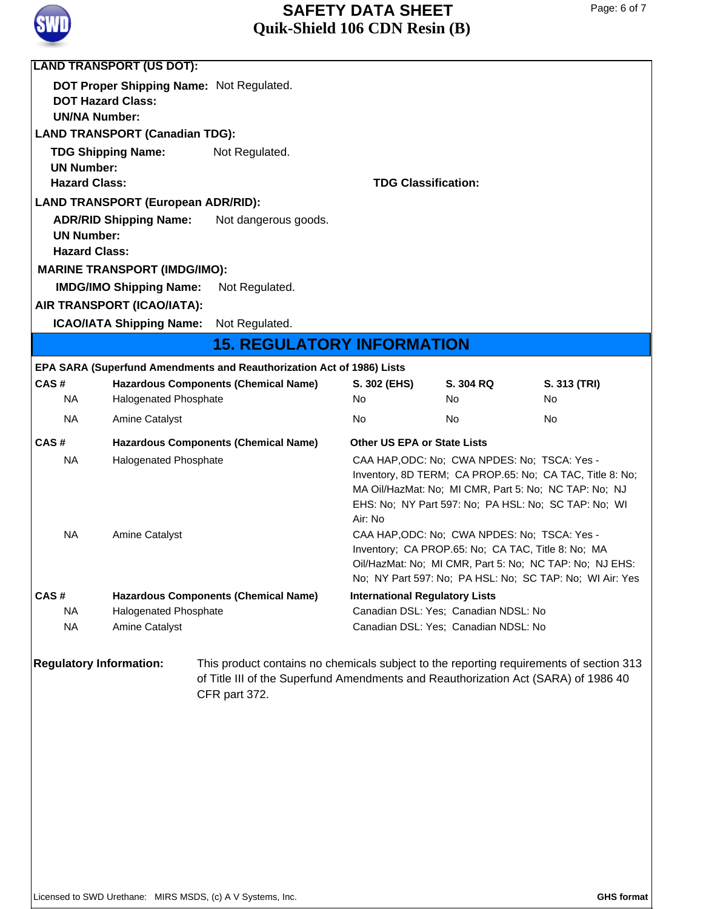

# **Quik-Shield 106 CDN Resin (B) SAFETY DATA SHEET**

|                                                                            | <b>LAND TRANSPORT (US DOT):</b>           |                                                                                                                                                                                                |                                                                                                                                                                                                                                                                                      |                                      |                                                                                                                                                                           |  |  |
|----------------------------------------------------------------------------|-------------------------------------------|------------------------------------------------------------------------------------------------------------------------------------------------------------------------------------------------|--------------------------------------------------------------------------------------------------------------------------------------------------------------------------------------------------------------------------------------------------------------------------------------|--------------------------------------|---------------------------------------------------------------------------------------------------------------------------------------------------------------------------|--|--|
|                                                                            | DOT Proper Shipping Name: Not Regulated.  |                                                                                                                                                                                                |                                                                                                                                                                                                                                                                                      |                                      |                                                                                                                                                                           |  |  |
| <b>DOT Hazard Class:</b>                                                   |                                           |                                                                                                                                                                                                |                                                                                                                                                                                                                                                                                      |                                      |                                                                                                                                                                           |  |  |
| <b>UN/NA Number:</b>                                                       |                                           |                                                                                                                                                                                                |                                                                                                                                                                                                                                                                                      |                                      |                                                                                                                                                                           |  |  |
| <b>LAND TRANSPORT (Canadian TDG):</b>                                      |                                           |                                                                                                                                                                                                |                                                                                                                                                                                                                                                                                      |                                      |                                                                                                                                                                           |  |  |
|                                                                            | <b>TDG Shipping Name:</b>                 | Not Regulated.                                                                                                                                                                                 |                                                                                                                                                                                                                                                                                      |                                      |                                                                                                                                                                           |  |  |
| <b>UN Number:</b><br><b>Hazard Class:</b>                                  |                                           |                                                                                                                                                                                                |                                                                                                                                                                                                                                                                                      |                                      |                                                                                                                                                                           |  |  |
|                                                                            |                                           |                                                                                                                                                                                                | <b>TDG Classification:</b>                                                                                                                                                                                                                                                           |                                      |                                                                                                                                                                           |  |  |
|                                                                            | <b>LAND TRANSPORT (European ADR/RID):</b> |                                                                                                                                                                                                |                                                                                                                                                                                                                                                                                      |                                      |                                                                                                                                                                           |  |  |
| <b>ADR/RID Shipping Name:</b><br>Not dangerous goods.<br><b>UN Number:</b> |                                           |                                                                                                                                                                                                |                                                                                                                                                                                                                                                                                      |                                      |                                                                                                                                                                           |  |  |
| <b>Hazard Class:</b>                                                       |                                           |                                                                                                                                                                                                |                                                                                                                                                                                                                                                                                      |                                      |                                                                                                                                                                           |  |  |
|                                                                            | <b>MARINE TRANSPORT (IMDG/IMO):</b>       |                                                                                                                                                                                                |                                                                                                                                                                                                                                                                                      |                                      |                                                                                                                                                                           |  |  |
|                                                                            | <b>IMDG/IMO Shipping Name:</b>            | Not Regulated.                                                                                                                                                                                 |                                                                                                                                                                                                                                                                                      |                                      |                                                                                                                                                                           |  |  |
|                                                                            | AIR TRANSPORT (ICAO/IATA):                |                                                                                                                                                                                                |                                                                                                                                                                                                                                                                                      |                                      |                                                                                                                                                                           |  |  |
|                                                                            | <b>ICAO/IATA Shipping Name:</b>           | Not Regulated.                                                                                                                                                                                 |                                                                                                                                                                                                                                                                                      |                                      |                                                                                                                                                                           |  |  |
|                                                                            |                                           | <b>15. REGULATORY INFORMATION</b>                                                                                                                                                              |                                                                                                                                                                                                                                                                                      |                                      |                                                                                                                                                                           |  |  |
|                                                                            |                                           | EPA SARA (Superfund Amendments and Reauthorization Act of 1986) Lists                                                                                                                          |                                                                                                                                                                                                                                                                                      |                                      |                                                                                                                                                                           |  |  |
| CAS#                                                                       |                                           | <b>Hazardous Components (Chemical Name)</b>                                                                                                                                                    | S. 302 (EHS)                                                                                                                                                                                                                                                                         | S. 304 RQ                            | S. 313 (TRI)                                                                                                                                                              |  |  |
| NA.                                                                        | Halogenated Phosphate                     |                                                                                                                                                                                                | No.                                                                                                                                                                                                                                                                                  | No.                                  | No                                                                                                                                                                        |  |  |
| NA.                                                                        | <b>Amine Catalyst</b>                     |                                                                                                                                                                                                | No                                                                                                                                                                                                                                                                                   | No.                                  | No                                                                                                                                                                        |  |  |
| CAS#                                                                       |                                           | <b>Hazardous Components (Chemical Name)</b>                                                                                                                                                    | <b>Other US EPA or State Lists</b>                                                                                                                                                                                                                                                   |                                      |                                                                                                                                                                           |  |  |
| <b>NA</b>                                                                  | Halogenated Phosphate                     |                                                                                                                                                                                                |                                                                                                                                                                                                                                                                                      |                                      |                                                                                                                                                                           |  |  |
| NA                                                                         | <b>Amine Catalyst</b>                     |                                                                                                                                                                                                | CAA HAP, ODC: No; CWA NPDES: No; TSCA: Yes -<br>Inventory, 8D TERM; CA PROP.65: No; CA TAC, Title 8: No;<br>MA Oil/HazMat: No; MI CMR, Part 5: No; NC TAP: No; NJ<br>EHS: No; NY Part 597: No; PA HSL: No; SC TAP: No; WI<br>Air: No<br>CAA HAP, ODC: No; CWA NPDES: No; TSCA: Yes - |                                      |                                                                                                                                                                           |  |  |
|                                                                            |                                           |                                                                                                                                                                                                |                                                                                                                                                                                                                                                                                      |                                      | Inventory; CA PROP.65: No; CA TAC, Title 8: No; MA<br>Oil/HazMat: No; MI CMR, Part 5: No; NC TAP: No; NJ EHS:<br>No; NY Part 597: No; PA HSL: No; SC TAP: No; WI Air: Yes |  |  |
| CAS#                                                                       |                                           | <b>Hazardous Components (Chemical Name)</b>                                                                                                                                                    | <b>International Regulatory Lists</b>                                                                                                                                                                                                                                                |                                      |                                                                                                                                                                           |  |  |
| <b>NA</b>                                                                  | Halogenated Phosphate                     |                                                                                                                                                                                                |                                                                                                                                                                                                                                                                                      | Canadian DSL: Yes; Canadian NDSL: No |                                                                                                                                                                           |  |  |
| NA                                                                         | Amine Catalyst                            |                                                                                                                                                                                                |                                                                                                                                                                                                                                                                                      | Canadian DSL: Yes; Canadian NDSL: No |                                                                                                                                                                           |  |  |
| <b>Regulatory Information:</b>                                             |                                           | This product contains no chemicals subject to the reporting requirements of section 313<br>of Title III of the Superfund Amendments and Reauthorization Act (SARA) of 1986 40<br>CFR part 372. |                                                                                                                                                                                                                                                                                      |                                      |                                                                                                                                                                           |  |  |
|                                                                            |                                           |                                                                                                                                                                                                |                                                                                                                                                                                                                                                                                      |                                      |                                                                                                                                                                           |  |  |